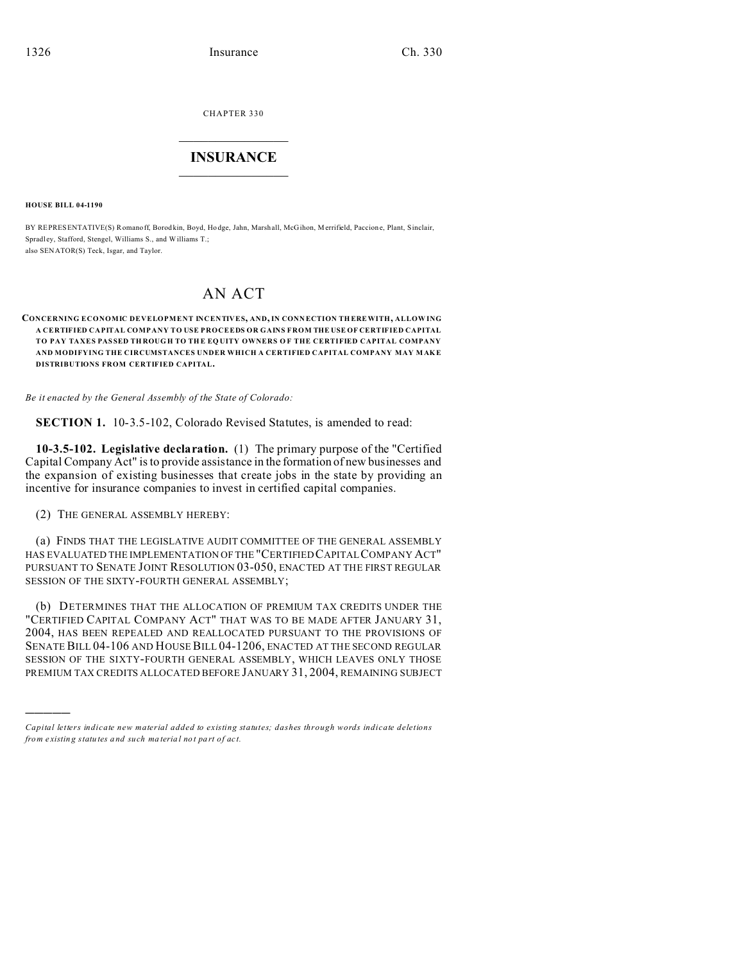CHAPTER 330

## **INSURANCE**

**HOUSE BILL 04-1190** 

BY REPRESENTATIVE(S) Romanoff, Borodkin, Boyd, Hodge, Jahn, Marshall, McGihon, Merrifield, Paccione, Plant, Sinclair, Spradley, Stafford, Stengel, Williams S., and Williams T.; also SENATOR(S) Teck, Isgar, and Taylor.

## $AN$   $ACT$

## CONCERNING ECONOMIC DEVELOPMENT INCENTIVES, AND, IN CONNECTION THERE WITH, ALLOWING A CERTIFIED CAPITAL COMPANY TO USE PROCEEDS OR GAINS FROM THE USE OF CERTIFIED CAPITAL TO PAY TAXES PASSED THROUGH TO THE EQUITY OWNERS OF THE CERTIFIED CAPITAL COMPANY AND MODIFYING THE CIRCUMSTANCES UNDER WHICH A CERTIFIED CAPITAL COMPANY MAY MAKE DISTRIBUTIONS FROM CERTIFIED CAPITAL.

Be it enacted by the General Assembly of the State of Colorado:

**SECTION 1.** 10-3.5-102, Colorado Revised Statutes, is amended to read:

10-3.5-102. Legislative declaration. (1) The primary purpose of the "Certified" Capital Company Act" is to provide assistance in the formation of new businesses and the expansion of existing businesses that create jobs in the state by providing an incentive for insurance companies to invest in certified capital companies.

(2) THE GENERAL ASSEMBLY HEREBY:

(a) FINDS THAT THE LEGISLATIVE AUDIT COMMITTEE OF THE GENERAL ASSEMBLY HAS EVALUATED THE IMPLEMENTATION OF THE "CERTIFIED CAPITAL COMPANY ACT" PURSUANT TO SENATE JOINT RESOLUTION 03-050, ENACTED AT THE FIRST REGULAR SESSION OF THE SIXTY-FOURTH GENERAL ASSEMBLY;

(b) DETERMINES THAT THE ALLOCATION OF PREMIUM TAX CREDITS UNDER THE "CERTIFIED CAPITAL COMPANY ACT" THAT WAS TO BE MADE AFTER JANUARY 31, 2004, HAS BEEN REPEALED AND REALLOCATED PURSUANT TO THE PROVISIONS OF SENATE BILL 04-106 AND HOUSE BILL 04-1206, ENACTED AT THE SECOND REGULAR SESSION OF THE SIXTY-FOURTH GENERAL ASSEMBLY, WHICH LEAVES ONLY THOSE PREMIUM TAX CREDITS ALLOCATED BEFORE JANUARY 31, 2004, REMAINING SUBJECT

Capital letters indicate new material added to existing statutes; dashes through words indicate deletions from existing statutes and such material not part of act.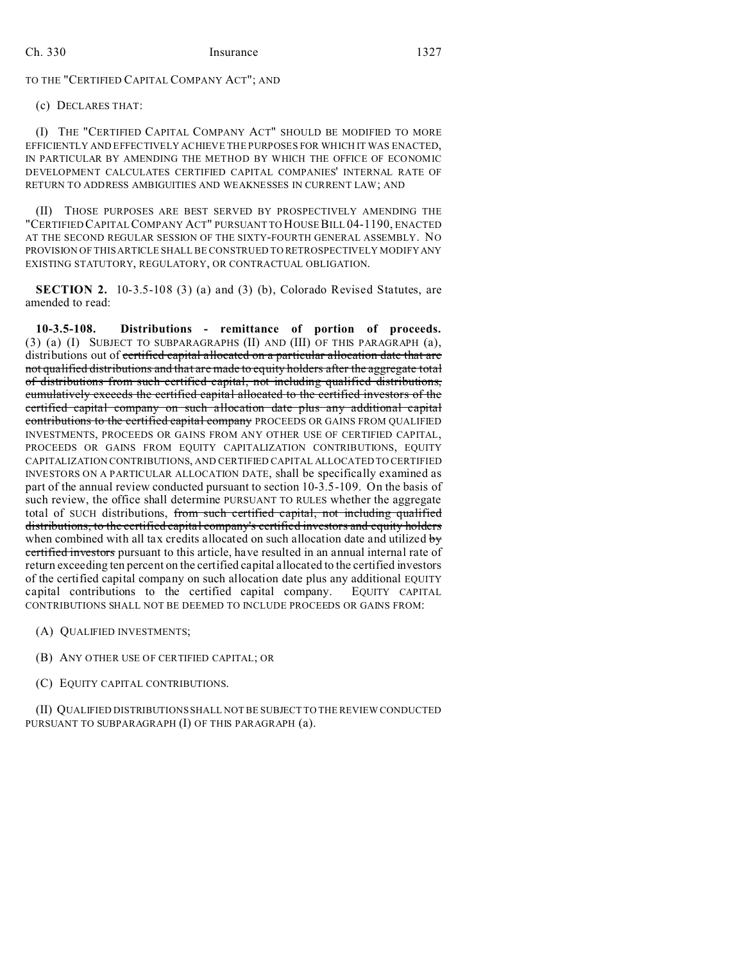TO THE "CERTIFIED CAPITAL COMPANY ACT"; AND

(c) DECLARES THAT:

(I) THE "CERTIFIED CAPITAL COMPANY ACT" SHOULD BE MODIFIED TO MORE EFFICIENTLY AND EFFECTIVELY ACHIEVE THE PURPOSES FOR WHICH IT WAS ENACTED, IN PARTICULAR BY AMENDING THE METHOD BY WHICH THE OFFICE OF ECONOMIC DEVELOPMENT CALCULATES CERTIFIED CAPITAL COMPANIES' INTERNAL RATE OF RETURN TO ADDRESS AMBIGUITIES AND WEAKNESSES IN CURRENT LAW; AND

(II) THOSE PURPOSES ARE BEST SERVED BY PROSPECTIVELY AMENDING THE "CERTIFIED CAPITAL COMPANY ACT" PURSUANT TO HOUSE BILL 04-1190, ENACTED AT THE SECOND REGULAR SESSION OF THE SIXTY-FOURTH GENERAL ASSEMBLY. NO PROVISION OF THIS ARTICLE SHALL BE CONSTRUED TO RETROSPECTIVELY MODIFY ANY EXISTING STATUTORY, REGULATORY, OR CONTRACTUAL OBLIGATION.

**SECTION 2.** 10-3.5-108 (3) (a) and (3) (b), Colorado Revised Statutes, are amended to read:

**10-3.5-108. Distributions - remittance of portion of proceeds.** (3) (a) (I) SUBJECT TO SUBPARAGRAPHS (II) AND (III) OF THIS PARAGRAPH (a), distributions out of certified capital allocated on a particular allocation date that are not qualified distributions and that are made to equity holders after the aggregate total of distributions from such certified capital, not including qualified distributions, cumulatively exceeds the certified capital allocated to the certified investors of the certified capital company on such allocation date plus any additional capital contributions to the certified capital company PROCEEDS OR GAINS FROM QUALIFIED INVESTMENTS, PROCEEDS OR GAINS FROM ANY OTHER USE OF CERTIFIED CAPITAL, PROCEEDS OR GAINS FROM EQUITY CAPITALIZATION CONTRIBUTIONS, EQUITY CAPITALIZATION CONTRIBUTIONS, AND CERTIFIED CAPITAL ALLOCATED TO CERTIFIED INVESTORS ON A PARTICULAR ALLOCATION DATE, shall be specifically examined as part of the annual review conducted pursuant to section 10-3.5-109. On the basis of such review, the office shall determine PURSUANT TO RULES whether the aggregate total of SUCH distributions, from such certified capital, not including qualified distributions, to the certified capital company's certified investors and equity holders when combined with all tax credits allocated on such allocation date and utilized  $\mathbf{b}$ certified investors pursuant to this article, have resulted in an annual internal rate of return exceeding ten percent on the certified capital allocated to the certified investors of the certified capital company on such allocation date plus any additional EQUITY capital contributions to the certified capital company. EQUITY CAPITAL CONTRIBUTIONS SHALL NOT BE DEEMED TO INCLUDE PROCEEDS OR GAINS FROM:

- (A) QUALIFIED INVESTMENTS;
- (B) ANY OTHER USE OF CERTIFIED CAPITAL; OR
- (C) EQUITY CAPITAL CONTRIBUTIONS.

(II) QUALIFIED DISTRIBUTIONS SHALL NOT BE SUBJECT TO THE REVIEW CONDUCTED PURSUANT TO SUBPARAGRAPH (I) OF THIS PARAGRAPH (a).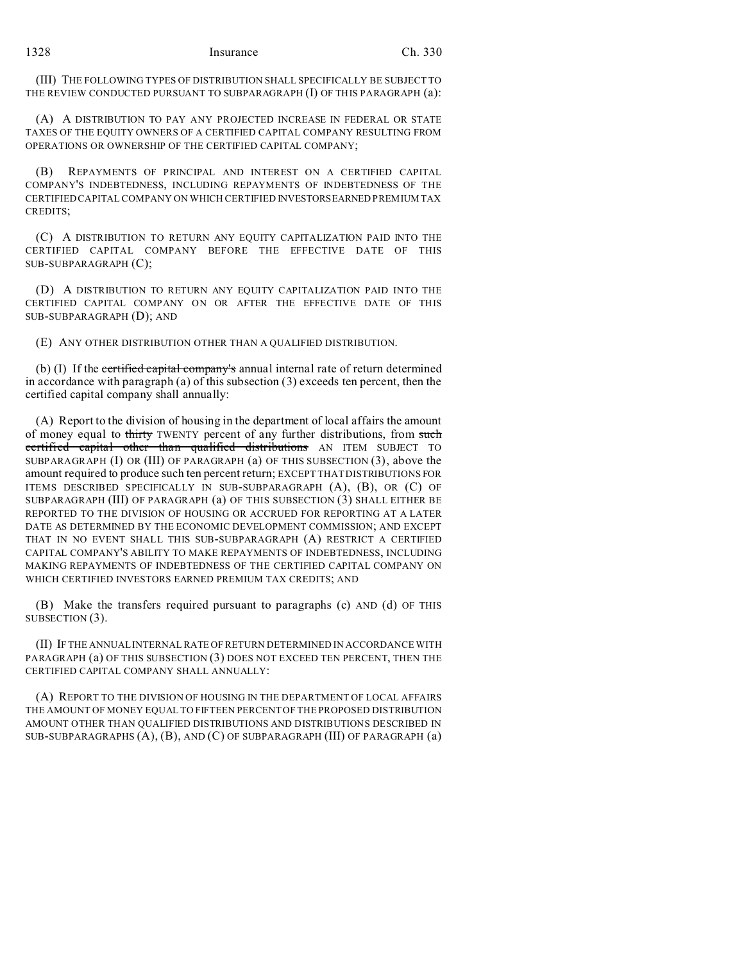(III) THE FOLLOWING TYPES OF DISTRIBUTION SHALL SPECIFICALLY BE SUBJECT TO THE REVIEW CONDUCTED PURSUANT TO SUBPARAGRAPH (I) OF THIS PARAGRAPH (a):

(A) A DISTRIBUTION TO PAY ANY PROJECTED INCREASE IN FEDERAL OR STATE TAXES OF THE EQUITY OWNERS OF A CERTIFIED CAPITAL COMPANY RESULTING FROM OPERATIONS OR OWNERSHIP OF THE CERTIFIED CAPITAL COMPANY;

(B) REPAYMENTS OF PRINCIPAL AND INTEREST ON A CERTIFIED CAPITAL COMPANY'S INDEBTEDNESS, INCLUDING REPAYMENTS OF INDEBTEDNESS OF THE CERTIFIED CAPITAL COMPANY ON WHICH CERTIFIED INVESTORSEARNED PREMIUM TAX CREDITS;

(C) A DISTRIBUTION TO RETURN ANY EQUITY CAPITALIZATION PAID INTO THE CERTIFIED CAPITAL COMPANY BEFORE THE EFFECTIVE DATE OF THIS SUB-SUBPARAGRAPH (C);

(D) A DISTRIBUTION TO RETURN ANY EQUITY CAPITALIZATION PAID INTO THE CERTIFIED CAPITAL COMPANY ON OR AFTER THE EFFECTIVE DATE OF THIS SUB-SUBPARAGRAPH (D); AND

(E) ANY OTHER DISTRIBUTION OTHER THAN A QUALIFIED DISTRIBUTION.

(b) (I) If the certified capital company's annual internal rate of return determined in accordance with paragraph (a) of this subsection (3) exceeds ten percent, then the certified capital company shall annually:

(A) Report to the division of housing in the department of local affairs the amount of money equal to thirty TWENTY percent of any further distributions, from such certified capital other than qualified distributions AN ITEM SUBJECT TO SUBPARAGRAPH (I) OR (III) OF PARAGRAPH (a) OF THIS SUBSECTION (3), above the amount required to produce such ten percent return; EXCEPT THAT DISTRIBUTIONS FOR ITEMS DESCRIBED SPECIFICALLY IN SUB-SUBPARAGRAPH (A), (B), OR (C) OF SUBPARAGRAPH (III) OF PARAGRAPH (a) OF THIS SUBSECTION (3) SHALL EITHER BE REPORTED TO THE DIVISION OF HOUSING OR ACCRUED FOR REPORTING AT A LATER DATE AS DETERMINED BY THE ECONOMIC DEVELOPMENT COMMISSION; AND EXCEPT THAT IN NO EVENT SHALL THIS SUB-SUBPARAGRAPH (A) RESTRICT A CERTIFIED CAPITAL COMPANY'S ABILITY TO MAKE REPAYMENTS OF INDEBTEDNESS, INCLUDING MAKING REPAYMENTS OF INDEBTEDNESS OF THE CERTIFIED CAPITAL COMPANY ON WHICH CERTIFIED INVESTORS EARNED PREMIUM TAX CREDITS; AND

(B) Make the transfers required pursuant to paragraphs (c) AND (d) OF THIS SUBSECTION  $(3)$ .

(II) IF THE ANNUAL INTERNAL RATE OF RETURN DETERMINED IN ACCORDANCE WITH PARAGRAPH (a) OF THIS SUBSECTION (3) DOES NOT EXCEED TEN PERCENT, THEN THE CERTIFIED CAPITAL COMPANY SHALL ANNUALLY:

(A) REPORT TO THE DIVISION OF HOUSING IN THE DEPARTMENT OF LOCAL AFFAIRS THE AMOUNT OF MONEY EQUAL TO FIFTEEN PERCENT OF THE PROPOSED DISTRIBUTION AMOUNT OTHER THAN QUALIFIED DISTRIBUTIONS AND DISTRIBUTIONS DESCRIBED IN SUB-SUBPARAGRAPHS (A), (B), AND (C) OF SUBPARAGRAPH (III) OF PARAGRAPH (a)